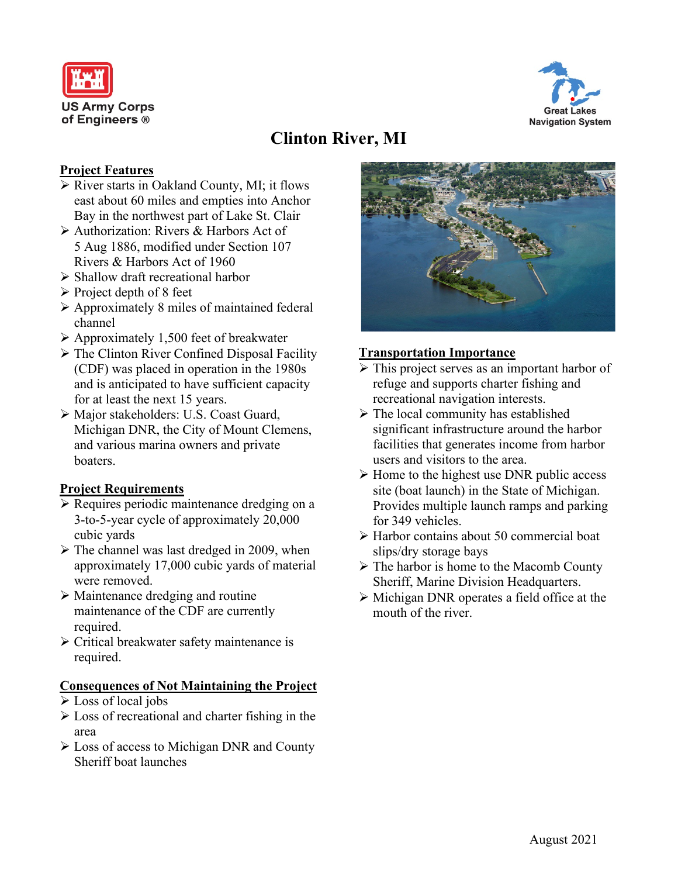



# **Clinton River, MI**

## **Project Features**

- $\triangleright$  River starts in Oakland County, MI; it flows east about 60 miles and empties into Anchor Bay in the northwest part of Lake St. Clair
- Authorization: Rivers & Harbors Act of 5 Aug 1886, modified under Section 107 Rivers & Harbors Act of 1960
- $\triangleright$  Shallow draft recreational harbor
- $\triangleright$  Project depth of 8 feet
- $\triangleright$  Approximately 8 miles of maintained federal channel
- Approximately 1,500 feet of breakwater
- $\triangleright$  The Clinton River Confined Disposal Facility (CDF) was placed in operation in the 1980s and is anticipated to have sufficient capacity for at least the next 15 years.
- Major stakeholders: U.S. Coast Guard, Michigan DNR, the City of Mount Clemens, and various marina owners and private boaters.

## **Project Requirements**

- **Example 3** Requires periodic maintenance dredging on a 3-to-5-year cycle of approximately 20,000 cubic yards
- $\triangleright$  The channel was last dredged in 2009, when approximately 17,000 cubic yards of material were removed.
- $\triangleright$  Maintenance dredging and routine maintenance of the CDF are currently required.
- $\triangleright$  Critical breakwater safety maintenance is required.

#### **Consequences of Not Maintaining the Project**

- Loss of local jobs
- Loss of recreational and charter fishing in the area
- $\triangleright$  Loss of access to Michigan DNR and County Sheriff boat launches



### **Transportation Importance**

- $\triangleright$  This project serves as an important harbor of refuge and supports charter fishing and recreational navigation interests.
- $\triangleright$  The local community has established significant infrastructure around the harbor facilities that generates income from harbor users and visitors to the area.
- $\triangleright$  Home to the highest use DNR public access site (boat launch) in the State of Michigan. Provides multiple launch ramps and parking for 349 vehicles.
- Harbor contains about 50 commercial boat slips/dry storage bays
- $\triangleright$  The harbor is home to the Macomb County Sheriff, Marine Division Headquarters.
- $\triangleright$  Michigan DNR operates a field office at the mouth of the river.